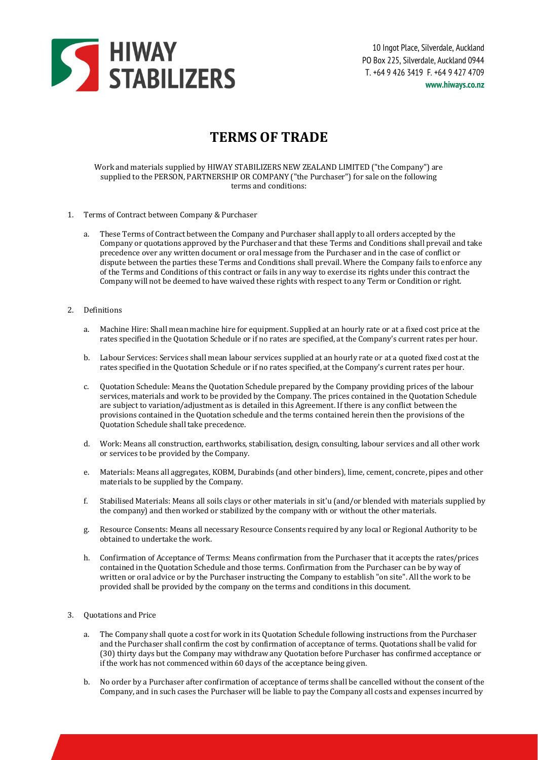

# **TERMS OF TRADE**

Work and materials supplied by HIWAY STABILIZERS NEW ZEALAND LIMITED ("the Company") are supplied to the PERSON, PARTNERSHIP OR COMPANY ("the Purchaser") for sale on the following terms and conditions:

- 1. Terms of Contract between Company & Purchaser
	- a. These Terms of Contract between the Company and Purchaser shall apply to all orders accepted by the Company or quotations approved by the Purchaser and that these Terms and Conditions shall prevail and take precedence over any written document or oral message from the Purchaser and in the case of conflict or dispute between the parties these Terms and Conditions shall prevail. Where the Company fails to enforce any of the Terms and Conditions of this contract or fails in any way to exercise its rights under this contract the Company will not be deemed to have waived these rights with respect to any Term or Condition or right.
- 2. Definitions
	- a. Machine Hire: Shall mean machine hire for equipment. Supplied at an hourly rate or at a fixed cost price at the rates specified in the Quotation Schedule or if no rates are specified, at the Company's current rates per hour.
	- b. Labour Services: Services shall mean labour services supplied at an hourly rate or at a quoted fixed cost at the rates specified in the Quotation Schedule or if no rates specified, at the Company's current rates per hour.
	- c. Quotation Schedule: Means the Quotation Schedule prepared by the Company providing prices of the labour services, materials and work to be provided by the Company. The prices contained in the Quotation Schedule are subject to variation/adjustment as is detailed in this Agreement. If there is any conflict between the provisions contained in the Quotation schedule and the terms contained herein then the provisions of the Quotation Schedule shall take precedence.
	- d. Work: Means all construction, earthworks, stabilisation, design, consulting, labour services and all other work or services to be provided by the Company.
	- e. Materials: Means all aggregates, KOBM, Durabinds (and other binders), lime, cement, concrete, pipes and other materials to be supplied by the Company.
	- f. Stabilised Materials: Means all soils clays or other materials in sit'u (and/or blended with materials supplied by the company) and then worked or stabilized by the company with or without the other materials.
	- g. Resource Consents: Means all necessary Resource Consents required by any local or Regional Authority to be obtained to undertake the work.
	- h. Confirmation of Acceptance of Terms: Means confirmation from the Purchaser that it accepts the rates/prices contained in the Quotation Schedule and those terms. Confirmation from the Purchaser can be by way of written or oral advice or by the Purchaser instructing the Company to establish "on site". All the work to be provided shall be provided by the company on the terms and conditions in this document.

### 3. Quotations and Price

- a. The Company shall quote a cost for work in its Quotation Schedule following instructions from the Purchaser and the Purchaser shall confirm the cost by confirmation of acceptance of terms. Quotations shall be valid for (30) thirty days but the Company may withdraw any Quotation before Purchaser has confirmed acceptance or if the work has not commenced within 60 days of the acceptance being given.
- b. No order by a Purchaser after confirmation of acceptance of terms shall be cancelled without the consent of the Company, and in such cases the Purchaser will be liable to pay the Company all costs and expenses incurred by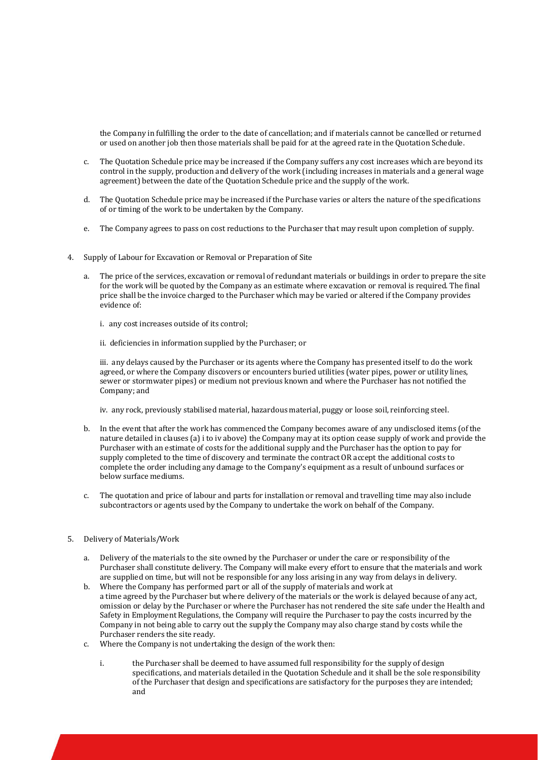the Company in fulfilling the order to the date of cancellation; and if materials cannot be cancelled or returned or used on another job then those materials shall be paid for at the agreed rate in the Quotation Schedule.

- c. The Quotation Schedule price may be increased if the Company suffers any cost increases which are beyond its control in the supply, production and delivery of the work (including increases in materials and a general wage agreement) between the date of the Quotation Schedule price and the supply of the work.
- d. The Quotation Schedule price may be increased if the Purchase varies or alters the nature of the specifications of or timing of the work to be undertaken by the Company.
- e. The Company agrees to pass on cost reductions to the Purchaser that may result upon completion of supply.
- 4. Supply of Labour for Excavation or Removal or Preparation of Site
	- a. The price of the services, excavation or removal of redundant materials or buildings in order to prepare the site for the work will be quoted by the Company as an estimate where excavation or removal is required. The final price shall be the invoice charged to the Purchaser which may be varied or altered if the Company provides evidence of:
		- i. any cost increases outside of its control;
		- ii. deficiencies in information supplied by the Purchaser; or

iii. any delays caused by the Purchaser or its agents where the Company has presented itself to do the work agreed, or where the Company discovers or encounters buried utilities (water pipes, power or utility lines, sewer or stormwater pipes) or medium not previous known and where the Purchaser has not notified the Company; and

iv. any rock, previously stabilised material, hazardous material, puggy or loose soil, reinforcing steel.

- b. In the event that after the work has commenced the Company becomes aware of any undisclosed items (of the nature detailed in clauses (a) i to iv above) the Company may at its option cease supply of work and provide the Purchaser with an estimate of costs for the additional supply and the Purchaser has the option to pay for supply completed to the time of discovery and terminate the contract OR accept the additional costs to complete the order including any damage to the Company's equipment as a result of unbound surfaces or below surface mediums.
- c. The quotation and price of labour and parts for installation or removal and travelling time may also include subcontractors or agents used by the Company to undertake the work on behalf of the Company.
- 5. Delivery of Materials/Work
	- a. Delivery of the materials to the site owned by the Purchaser or under the care or responsibility of the Purchaser shall constitute delivery. The Company will make every effort to ensure that the materials and work are supplied on time, but will not be responsible for any loss arising in any way from delays in delivery. b. Where the Company has performed part or all of the supply of materials and work at
	- a time agreed by the Purchaser but where delivery of the materials or the work is delayed because of any act, omission or delay by the Purchaser or where the Purchaser has not rendered the site safe under the Health and Safety in Employment Regulations, the Company will require the Purchaser to pay the costs incurred by the Company in not being able to carry out the supply the Company may also charge stand by costs while the Purchaser renders the site ready.
	- c. Where the Company is not undertaking the design of the work then:
		- i. the Purchaser shall be deemed to have assumed full responsibility for the supply of design specifications, and materials detailed in the Quotation Schedule and it shall be the sole responsibility of the Purchaser that design and specifications are satisfactory for the purposes they are intended; and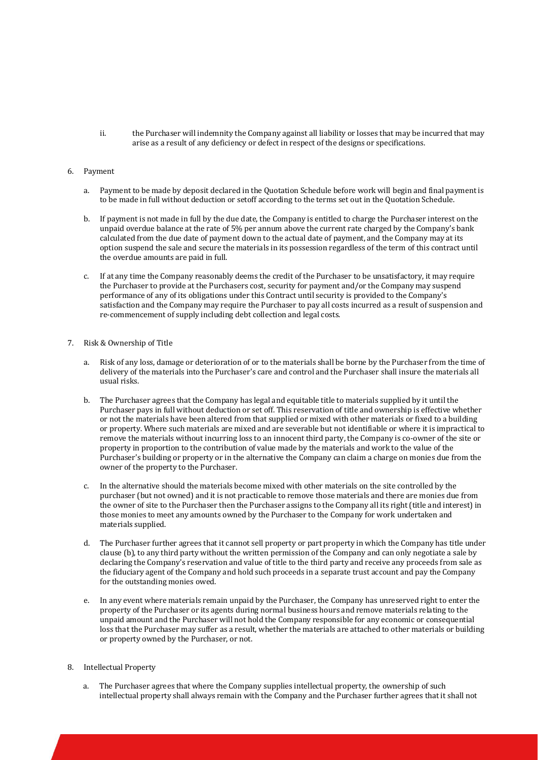ii. the Purchaser will indemnity the Company against all liability or losses that may be incurred that may arise as a result of any deficiency or defect in respect of the designs or specifications.

## 6. Payment

- a. Payment to be made by deposit declared in the Quotation Schedule before work will begin and final payment is to be made in full without deduction or setoff according to the terms set out in the Quotation Schedule.
- b. If payment is not made in full by the due date, the Company is entitled to charge the Purchaser interest on the unpaid overdue balance at the rate of 5% per annum above the current rate charged by the Company's bank calculated from the due date of payment down to the actual date of payment, and the Company may at its option suspend the sale and secure the materials in its possession regardless of the term of this contract until the overdue amounts are paid in full.
- c. If at any time the Company reasonably deems the credit of the Purchaser to be unsatisfactory, it may require the Purchaser to provide at the Purchasers cost, security for payment and/or the Company may suspend performance of any of its obligations under this Contract until security is provided to the Company's satisfaction and the Company may require the Purchaser to pay all costs incurred as a result of suspension and re-commencement of supply including debt collection and legal costs.

#### 7. Risk & Ownership of Title

- a. Risk of any loss, damage or deterioration of or to the materials shall be borne by the Purchaser from the time of delivery of the materials into the Purchaser's care and control and the Purchaser shall insure the materials all usual risks.
- b. The Purchaser agrees that the Company has legal and equitable title to materials supplied by it until the Purchaser pays in full without deduction or set off. This reservation of title and ownership is effective whether or not the materials have been altered from that supplied or mixed with other materials or fixed to a building or property. Where such materials are mixed and are severable but not identifiable or where it is impractical to remove the materials without incurring loss to an innocent third party, the Company is co-owner of the site or property in proportion to the contribution of value made by the materials and work to the value of the Purchaser's building or property or in the alternative the Company can claim a charge on monies due from the owner of the property to the Purchaser.
- c. In the alternative should the materials become mixed with other materials on the site controlled by the purchaser (but not owned) and it is not practicable to remove those materials and there are monies due from the owner of site to the Purchaser then the Purchaser assigns to the Company all its right (title and interest) in those monies to meet any amounts owned by the Purchaser to the Company for work undertaken and materials supplied.
- d. The Purchaser further agrees that it cannot sell property or part property in which the Company has title under clause (b), to any third party without the written permission of the Company and can only negotiate a sale by declaring the Company's reservation and value of title to the third party and receive any proceeds from sale as the fiduciary agent of the Company and hold such proceeds in a separate trust account and pay the Company for the outstanding monies owed.
- e. In any event where materials remain unpaid by the Purchaser, the Company has unreserved right to enter the property of the Purchaser or its agents during normal business hours and remove materials relating to the unpaid amount and the Purchaser will not hold the Company responsible for any economic or consequential loss that the Purchaser may suffer as a result, whether the materials are attached to other materials or building or property owned by the Purchaser, or not.

# 8. Intellectual Property

The Purchaser agrees that where the Company supplies intellectual property, the ownership of such intellectual property shall always remain with the Company and the Purchaser further agrees that it shall not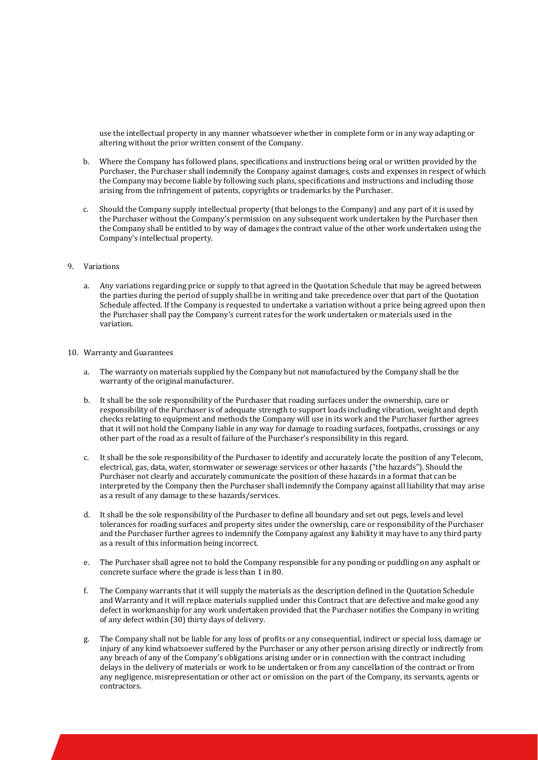use the intellectual property in any manner whatsoever whether in complete form or in any way adapting or altering without the prior written consent of the Company.

- b. Where the Company has followed plans, specifications and instructions being oral or written provided by the Purchaser, the Purchaser shall indemnify the Company against damages, costs and expenses in respect of which the Company may become liable by following such plans, specifications and instructions and including those arising from the infringement of patents, copyrights or trademarks by the Purchaser.
- c. Should the Company supply intellectual property (that belongs to the Company) and any part of it is used by the Purchaser without the Company's permission on any subsequent work undertaken by the Purchaser then the Company shall be entitled to by way of damages the contract value of the other work undertaken using the Company's intellectual property.

#### 9. Variations

a. Any variations regarding price or supply to that agreed in the Quotation Schedule that may be agreed between the parties during the period of supply shall be in writing and take precedence over that part of the Quotation Schedule affected. If the Company is requested to undertake a variation without a price being agreed upon then the Purchaser shall pay the Company's current rates for the work undertaken or materials used in the variation.

#### 10. Warranty and Guarantees

- a. The warranty on materials supplied by the Company but not manufactured by the Company shall be the warranty of the original manufacturer.
- b. It shall be the sole responsibility of the Purchaser that roading surfaces under the ownership, care or responsibility of the Purchaser is of adequate strength to support loads including vibration, weight and depth checks relating to equipment and methods the Company will use in its work and the Purchaser further agrees that it will not hold the Company liable in any way for damage to roading surfaces, footpaths, crossings or any other part of the road as a result of failure of the Purchaser's responsibility in this regard.
- c. It shall be the sole responsibility of the Purchaser to identify and accurately locate the position of any Telecom, electrical, gas, data, water, stormwater or sewerage services or other hazards ("the hazards"). Should the Purchaser not clearly and accurately communicate the position of these hazards in a format that can be interpreted by the Company then the Purchaser shall indemnify the Company against all liability that may arise as a result of any damage to these hazards/services.
- d. It shall be the sole responsibility of the Purchaser to define all boundary and set out pegs, levels and level tolerances for roading surfaces and property sites under the ownership, care or responsibility of the Purchaser and the Purchaser further agrees to indemnify the Company against any liability it may have to any third party as a result of this information being incorrect.
- e. The Purchaser shall agree not to hold the Company responsible for any ponding or puddling on any asphalt or concrete surface where the grade is less than 1 in 80.
- f. The Company warrants that it will supply the materials as the description defined in the Quotation Schedule and Warranty and it will replace materials supplied under this Contract that are defective and make good any defect in workmanship for any work undertaken provided that the Purchaser notifies the Company in writing of any defect within (30) thirty days of delivery.
- g. The Company shall not be liable for any loss of profits or any consequential, indirect or special loss, damage or injury of any kind whatsoever suffered by the Purchaser or any other person arising directly or indirectly from any breach of any of the Company's obligations arising under or in connection with the contract including delays in the delivery of materials or work to be undertaken or from any cancellation of the contract or from any negligence, misrepresentation or other act or omission on the part of the Company, its servants, agents or contractors.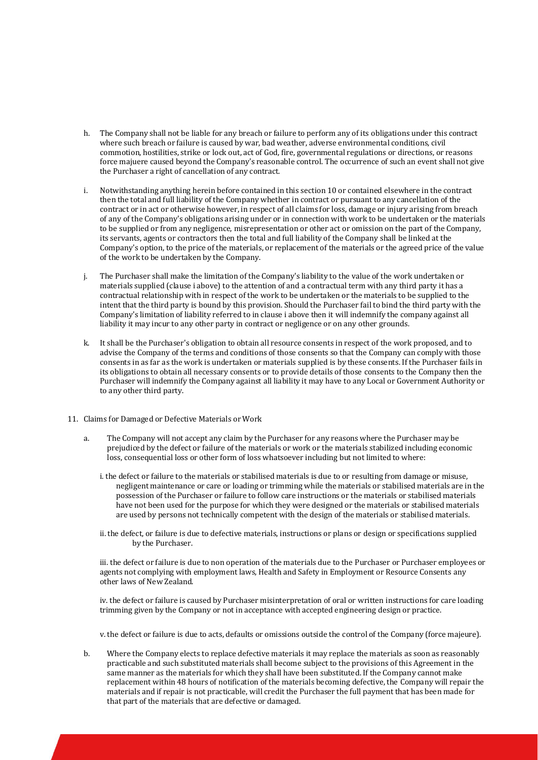- h. The Company shall not be liable for any breach or failure to perform any of its obligations under this contract where such breach or failure is caused by war, bad weather, adverse environmental conditions, civil commotion, hostilities, strike or lock out, act of God, fire, governmental regulations or directions, or reasons force majuere caused beyond the Company's reasonable control. The occurrence of such an event shall not give the Purchaser a right of cancellation of any contract.
- i. Notwithstanding anything herein before contained in this section 10 or contained elsewhere in the contract then the total and full liability of the Company whether in contract or pursuant to any cancellation of the contract or in act or otherwise however, in respect of all claims for loss, damage or injury arising from breach of any of the Company's obligations arising under or in connection with work to be undertaken or the materials to be supplied or from any negligence, misrepresentation or other act or omission on the part of the Company, its servants, agents or contractors then the total and full liability of the Company shall be linked at the Company's option, to the price of the materials, or replacement of the materials or the agreed price of the value of the work to be undertaken by the Company.
- j. The Purchaser shall make the limitation of the Company's liability to the value of the work undertaken or materials supplied (clause i above) to the attention of and a contractual term with any third party it has a contractual relationship with in respect of the work to be undertaken or the materials to be supplied to the intent that the third party is bound by this provision. Should the Purchaser fail to bind the third party with the Company's limitation of liability referred to in clause i above then it will indemnify the company against all liability it may incur to any other party in contract or negligence or on any other grounds.
- k. It shall be the Purchaser's obligation to obtain all resource consents in respect of the work proposed, and to advise the Company of the terms and conditions of those consents so that the Company can comply with those consents in as far as the work is undertaken or materials supplied is by these consents. If the Purchaser fails in its obligations to obtain all necessary consents or to provide details of those consents to the Company then the Purchaser will indemnify the Company against all liability it may have to any Local or Government Authority or to any other third party.
- 11. Claims for Damaged or Defective Materials or Work
	- a. The Company will not accept any claim by the Purchaser for any reasons where the Purchaser may be prejudiced by the defect or failure of the materials or work or the materials stabilized including economic loss, consequential loss or other form of loss whatsoever including but not limited to where:
		- i. the defect or failure to the materials or stabilised materials is due to or resulting from damage or misuse, negligent maintenance or care or loading or trimming while the materials or stabilised materials are in the possession of the Purchaser or failure to follow care instructions or the materials or stabilised materials have not been used for the purpose for which they were designed or the materials or stabilised materials are used by persons not technically competent with the design of the materials or stabilised materials.
		- ii. the defect, or failure is due to defective materials, instructions or plans or design or specifications supplied by the Purchaser.

iii. the defect or failure is due to non operation of the materials due to the Purchaser or Purchaser employees or agents not complying with employment laws, Health and Safety in Employment or Resource Consents any other laws of New Zealand.

iv. the defect or failure is caused by Purchaser misinterpretation of oral or written instructions for care loading trimming given by the Company or not in acceptance with accepted engineering design or practice.

v. the defect or failure is due to acts, defaults or omissions outside the control of the Company (force majeure).

b. Where the Company elects to replace defective materials it may replace the materials as soon as reasonably practicable and such substituted materials shall become subject to the provisions of this Agreement in the same manner as the materials for which they shall have been substituted. If the Company cannot make replacement within 48 hours of notification of the materials becoming defective, the Company will repair the materials and if repair is not practicable, will credit the Purchaser the full payment that has been made for that part of the materials that are defective or damaged.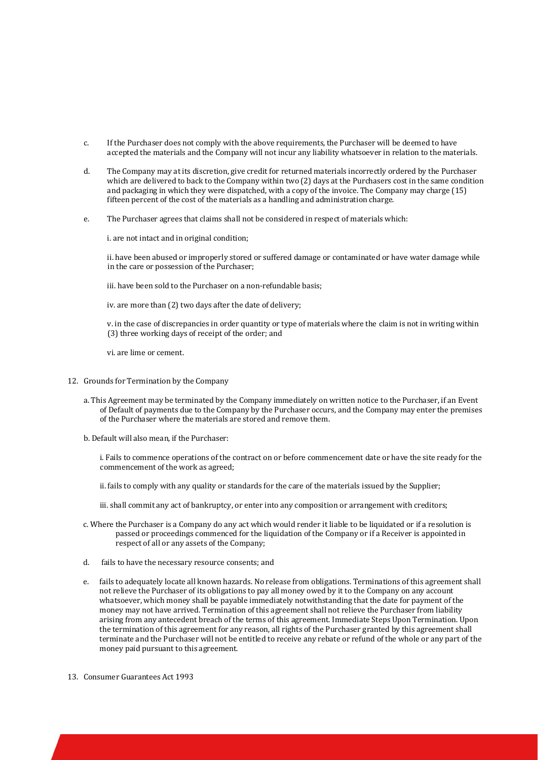- c. If the Purchaser does not comply with the above requirements, the Purchaser will be deemed to have accepted the materials and the Company will not incur any liability whatsoever in relation to the materials.
- d. The Company may at its discretion, give credit for returned materials incorrectly ordered by the Purchaser which are delivered to back to the Company within two (2) days at the Purchasers cost in the same condition and packaging in which they were dispatched, with a copy of the invoice. The Company may charge (15) fifteen percent of the cost of the materials as a handling and administration charge.
- e. The Purchaser agrees that claims shall not be considered in respect of materials which:

i. are not intact and in original condition;

ii. have been abused or improperly stored or suffered damage or contaminated or have water damage while in the care or possession of the Purchaser;

iii. have been sold to the Purchaser on a non-refundable basis;

iv. are more than (2) two days after the date of delivery;

v. in the case of discrepancies in order quantity or type of materials where the claim is not in writing within (3) three working days of receipt of the order; and

vi. are lime or cement.

- 12. Grounds for Termination by the Company
	- a. This Agreement may be terminated by the Company immediately on written notice to the Purchaser, if an Event of Default of payments due to the Company by the Purchaser occurs, and the Company may enter the premises of the Purchaser where the materials are stored and remove them.
	- b. Default will also mean, if the Purchaser:

i. Fails to commence operations of the contract on or before commencement date or have the site ready for the commencement of the work as agreed;

- ii. fails to comply with any quality or standards for the care of the materials issued by the Supplier;
- iii. shall commit any act of bankruptcy, or enter into any composition or arrangement with creditors;
- c. Where the Purchaser is a Company do any act which would render it liable to be liquidated or if a resolution is passed or proceedings commenced for the liquidation of the Company or if a Receiver is appointed in respect of all or any assets of the Company;
- d. fails to have the necessary resource consents; and
- e. fails to adequately locate all known hazards. No release from obligations. Terminations of this agreement shall not relieve the Purchaser of its obligations to pay all money owed by it to the Company on any account whatsoever, which money shall be payable immediately notwithstanding that the date for payment of the money may not have arrived. Termination of this agreement shall not relieve the Purchaser from liability arising from any antecedent breach of the terms of this agreement. Immediate Steps Upon Termination. Upon the termination of this agreement for any reason, all rights of the Purchaser granted by this agreement shall terminate and the Purchaser will not be entitled to receive any rebate or refund of the whole or any part of the money paid pursuant to this agreement.
- 13. Consumer Guarantees Act 1993